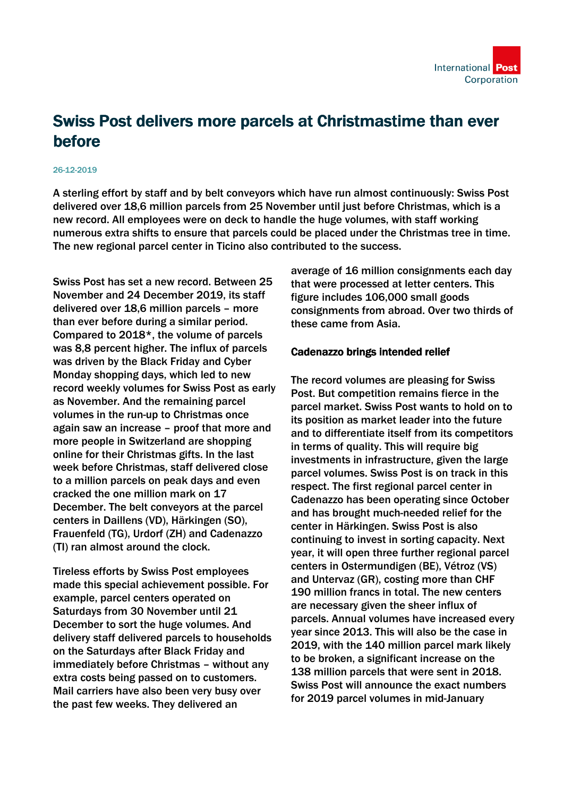

# Swiss Post delivers more parcels at Christmastime than ever before

#### 26-12-2019

A sterling effort by staff and by belt conveyors which have run almost continuously: Swiss Post delivered over 18,6 million parcels from 25 November until just before Christmas, which is a new record. All employees were on deck to handle the huge volumes, with staff working numerous extra shifts to ensure that parcels could be placed under the Christmas tree in time. The new regional parcel center in Ticino also contributed to the success.

Swiss Post has set a new record. Between 25 November and 24 December 2019, its staff delivered over 18,6 million parcels – more than ever before during a similar period. Compared to 2018\*, the volume of parcels was 8,8 percent higher. The influx of parcels was driven by the Black Friday and Cyber Monday shopping days, which led to new record weekly volumes for Swiss Post as early as November. And the remaining parcel volumes in the run-up to Christmas once again saw an increase – proof that more and more people in Switzerland are shopping online for their Christmas gifts. In the last week before Christmas, staff delivered close to a million parcels on peak days and even cracked the one million mark on 17 December. The belt conveyors at the parcel centers in Daillens (VD), Härkingen (SO), Frauenfeld (TG), Urdorf (ZH) and Cadenazzo (TI) ran almost around the clock.

Tireless efforts by Swiss Post employees made this special achievement possible. For example, parcel centers operated on Saturdays from 30 November until 21 December to sort the huge volumes. And delivery staff delivered parcels to households on the Saturdays after Black Friday and immediately before Christmas – without any extra costs being passed on to customers. Mail carriers have also been very busy over the past few weeks. They delivered an

average of 16 million consignments each day that were processed at letter centers. This figure includes 106,000 small goods consignments from abroad. Over two thirds of these came from Asia.

#### Cadenazzo brings intended relief

The record volumes are pleasing for Swiss Post. But competition remains fierce in the parcel market. Swiss Post wants to hold on to its position as market leader into the future and to differentiate itself from its competitors in terms of quality. This will require big investments in infrastructure, given the large parcel volumes. Swiss Post is on track in this respect. The first regional parcel center in Cadenazzo has been operating since October and has brought much-needed relief for the center in Härkingen. Swiss Post is also continuing to invest in sorting capacity. Next year, it will open three further regional parcel centers in Ostermundigen (BE), Vétroz (VS) and Untervaz (GR), costing more than CHF 190 million francs in total. The new centers are necessary given the sheer influx of parcels. Annual volumes have increased every year since 2013. This will also be the case in 2019, with the 140 million parcel mark likely to be broken, a significant increase on the 138 million parcels that were sent in 2018. Swiss Post will announce the exact numbers for 2019 parcel volumes in mid-January